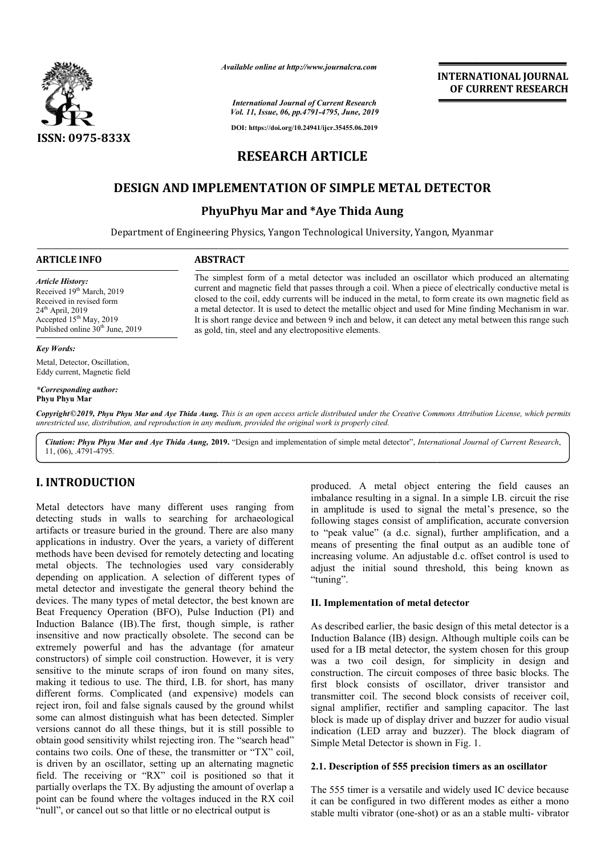

*Available online at http://www.journalcra.com*

**INTERNATIONAL JOURNAL OF CURRENT RESEARCH**

*International Journal of Current Research Vol. 11, Issue, 06, pp.4791-4795, June, 2019*

**DOI: https://doi.org/10.24941/ijcr.35455.06.2019**

# **RESEARCH ARTICLE**

# **DESIGN AND IMPLEMENTATION OF SIMPLE METAL DETECTOR**

# **PhyuPhyu Mar and \*Aye Thida Aung**

Department of Engineering Physics, Yangon Technological University, Yangon, Myanmar

# **ARTICLE INFO ABSTRACT**

*Article History:*

Received 19<sup>th</sup> March, 2019 Received in revised form 24<sup>th</sup> April, 2019 Accepted 15<sup>th</sup> May, 2019 Published online 30<sup>th</sup> June, 2019

#### *Key Words:*

Metal, Detector, Oscillation, Eddy current, Magnetic field

#### *\*Corresponding author:*  **Phyu Phyu Mar**

Copyright©2019, Phyu Phyu Mar and Aye Thida Aung. This is an open access article distributed under the Creative Commons Attribution License, which permits *unrestricted use, distribution, and reproduction in any medium, provided the original work is properly cited.*

as gold, tin, steel and any electropositive elements.

Citation: Phyu Phyu Mar and Aye Thida Aung, 2019. "Design and implementation of simple metal detector", *International Journal of Current Research*, 11, (06), .4791-4795.

# **I. INTRODUCTION**

Metal detectors have many different uses ranging from detecting studs in walls to searching for archaeological artifacts or treasure buried in the ground. There are also many applications in industry. Over the years, a variety of different methods have been devised for remotely detecting and locating metal objects. The technologies used vary considerably depending on application. A selection of different types of metal detector and investigate the general theory behind the devices. The many types of metal detector, the best known are Beat Frequency Operation (BFO), Pulse Induction (PI) and Induction Balance (IB).The first, though simple, is rather insensitive and now practically obsolete. The second can be extremely powerful and has the advantage (for amateur constructors) of simple coil construction. However, it is very sensitive to the minute scraps of iron found on many sites, making it tedious to use. The third, I.B. for short, has many different forms. Complicated (and expensive) models can reject iron, foil and false signals caused by the ground whilst some can almost distinguish what has been detected. Simpler versions cannot do all these things, but it is still possible to obtain good sensitivity whilst rejecting iron. The "search head" contains two coils. One of these, the transmitter or "TX" coil, is driven by an oscillator, setting up an alternating magnetic field. The receiving or "RX" coil is positioned so that it partially overlaps the TX. By adjusting the amount of overlap a point can be found where the voltages induced in the RX coil "null", or cancel out so that little or no electrical output is alance (IB).The first, though simple, is rather<br>nd now practically obsolete. The second can be<br>owerful and has the advantage (for amateur<br>of simple coil construction. However, it is very<br>the minute scraps of iron found on produced. A metal object entering the field causes an produced. A metal object entering the field causes an imbalance resulting in a signal. In a simple I.B. circuit the rise in amplitude is used to signal the metal's presence, so the following stages consist of amplification, accurate conversion to "peak value" (a d.c. signal), further amplification, and a means of presenting the final output as an audible tone of increasing volume. An adjustable d.c. offset control is used to in amplitude is used to signal the metal's presence, so the following stages consist of amplification, accurate conversion to "peak value" (a d.c. signal), further amplification, and a means of presenting the final output "tuning".

#### **II. Implementation of metal detector of**

The simplest form of a metal detector was included an oscillator which produced an alternating current and magnetic field that passes through a coil. When a piece of electrically conductive metal is current and magnetic field that passes through a coil. When a piece of electrically conductive metal is closed to the coil, eddy currents will be induced in the metal, to form create its own magnetic field as a metal detector. It is used to detect the metallic object and used for Mine finding Mechanism in war. a metal detector. It is used to detect the metallic object and used for Mine finding Mechanism in war.<br>It is short range device and between 9 inch and below, it can detect any metal between this range such

> As described earlier, the basic design of this metal detector is a Induction Balance (IB) design. Although multiple coils can be used for a IB metal detector, the system chosen for this group was a two coil design, for simplicity in design and construction. The circuit composes of three basic blocks. The first block consists of oscillator, driver transistor and transmitter coil. The second block consists of receiver coil, signal amplifier, rectifier and sampling capacitor. The last block is made up of display driver and buzzer for audio visual indication (LED array and buzzer). The block diagram of Simple Metal Detector is shown in Fig. 1. exeribed earlier, the basic design of this metal detector is a tion Balance (IB) design. Although multiple coils can be for a IB metal detector, the system chosen for this group a two coil design, for simplicity in design construction. The circuit composes of three basic blocks. The first block consists of oscillator, driver transistor and transmitter coil. The second block consists of receiver coil, signal amplifier, rectifier and sampling block is made up of display driver and buzzer for audio vis indication (LED array and buzzer). The block diagram Simple Metal Detector is shown in Fig. 1.

## **2.1. Description of 555 precision timers as an oscillator Description of 555**

The 555 timer is a versatile and widely used IC device because it can be configured in two different modes as either a mono stable multi vibrator (one-shot) or as an a stable multi le and widely used IC device because<br>wo different modes as either a mono<br>-shot) or as an a stable multi- vibrator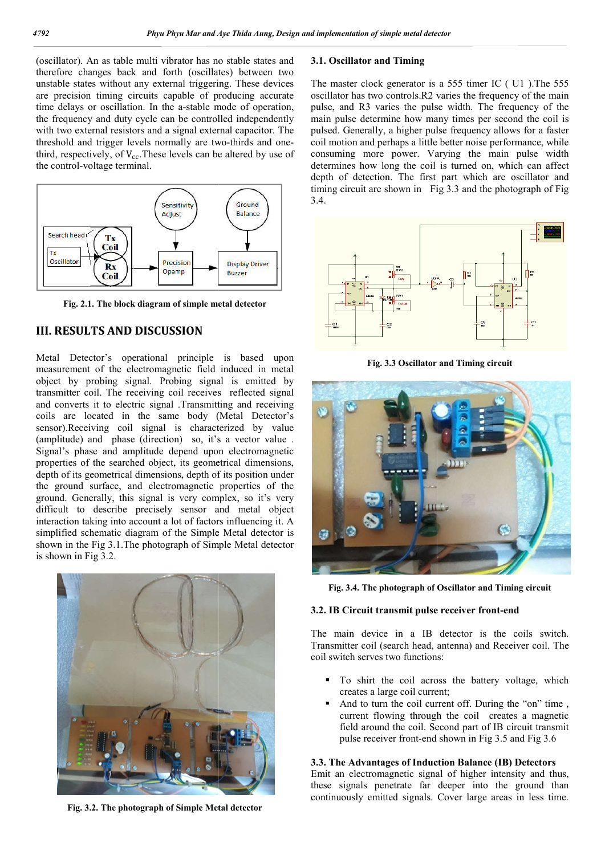(oscillator). An as table multi vibrator has no stable states and therefore changes back and forth (oscillates) between two unstable states without any external triggering. These devices are precision timing circuits capable of producing accurate time delays or oscillation. In the a-stable mode of operation, the frequency and duty cycle can be controlled independently with two external resistors and a signal external capacitor. The time delays or oscillation. In the a-stable mode of operation, the frequency and duty cycle can be controlled independently with two external resistors and a signal external capacitor. The threshold and trigger levels norm third, respectively, of  $V_{cc}$ . These levels can be altered by use of the control-voltage terminal.



**Fig. 2.1. The block diagram of simple metal detector**

# **III. RESULTS AND DISCUSSION**

Metal Detector's operational principle is based upon measurement of the electromagnetic field induced in metal object by probing signal. Probing signal is emitted by transmitter coil. The receiving coil receives reflected signal and converts it to electric signal .Transmitting and receiving coils are located in the same body (Metal Detector's sensor).Receiving coil signal is characterized by value (amplitude) and phase (direction) so, it's a vector value . Signal's phase and amplitude depend upon electromagnetic properties of the searched object, its geometrical dimensions, depth of its geometrical dimensions, depth of its position under (amplitude) and phase (direction) so, it's a vector value.<br>Signal's phase and amplitude depend upon electromagnetic<br>properties of the searched object, its geometrical dimensions,<br>depth of its geometrical dimensions, depth ground. Generally, this signal is very complex, so it's very difficult to describe precisely sensor and metal object interaction taking into account a lot of factors influencing it. A simplified schematic diagram of the Simple Metal detector is shown in the Fig 3.1.The photograph of Simple Metal detector is shown in Fig 3.2.



**Fig. 3.2. The photograph of Simple Metal detector**

# **3.1. Oscillator and Timing**

The master clock generator is a 555 timer IC ( U1 ).The 555 oscillator has two controls.R2 varies the frequency of the main pulse, and R3 varies the pulse width. The frequency of the main pulse determine how many times per second the coil is pulsed. Generally, a higher pulse frequency allows for a faster coil motion and perhaps a little better noise performance, while consuming more power. Varying the main pulse width determines how long the coil is turned on, which can affect depth of detection. The first part which are oscillator and timing circuit are shown in Fig 3.3 and the photograph of Fig 3.4. The master clock generator is a 555 timer IC (U1).The 555 oscillator has two controls.R2 varies the frequency of the main pulse, and R3 varies the pulse width. The frequency of the main pulse determine how many times per s



**Fig. 3.3 Oscillator and Timing circuit 3.3** 



Fig. 3.4. The photograph of Oscillator and Timing circuit<br>IB Circuit transmit pulse receiver front-end

### **3.2. IB Circuit transmit pulse receiver front**

The main device in a IB detector is the coils switch. Transmitter coil (search head, antenna) and Receiver coil. The coil switch serves two functions:

- To shirt the coil across the battery voltage, which creates a large coil current; To shirt the coil across the battery voltage, which creates a large coil current;<br>And to turn the coil current off. During the "on" time, current flowing through the coil creates a magnetic
- And to turn the coil current off. During the "on" time , field around the coil. Second part of IB circuit transmit field around the coil. Second part of IB circuit trans pulse receiver front-end shown in Fig 3.5 and Fig 3.6

# **3.3. The Advantages of Induction Balance (IB) Detectors (IB) Detectors**

Emit an electromagnetic signal of higher intensity and thus, these signals penetrate far deeper into the ground than continuously emitted signals. Cover large areas in less time.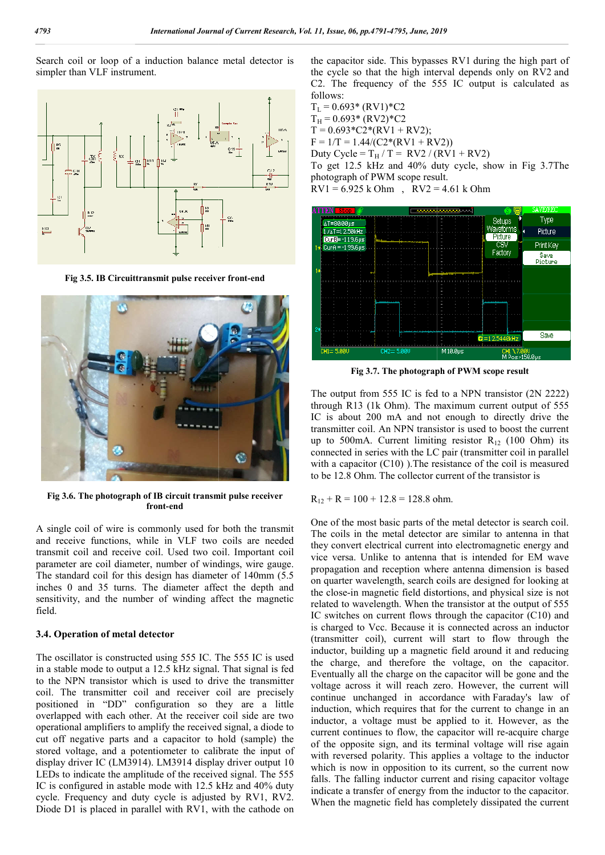Search coil or loop of a induction balance metal detector is simpler than VLF instrument.



Fig 3.5. IB Circuittransmit pulse receiver front-end



**Fig 3.6. The photograph of IB circuit transmit pulse receiver front-end**

A single coil of wire is commonly used for both the transmit and receive functions, while in VLF two coils are needed transmit coil and receive coil. Used two coil. Important coil parameter are coil diameter, number of windings, wire gauge. The standard coil for this design has diameter of 140mm (5.5 inches 0 and 35 turns. The diameter affect the depth and sensitivity, and the number of winding affect the magnetic field.

## **3.4. Operation of metal detector**

The oscillator is constructed using 555 IC. The 555 IC is used in a stable mode to output a 12.5 kHz signal. That signal is fed to the NPN transistor which is used to drive the transmitter coil. The transmitter coil and receiver coil are precisely positioned in "DD" configuration so they are a little overlapped with each other. At the receiver coil side are two operational amplifiers to amplify the received signal, a diode to cut off negative parts and a capacitor to hold (sample) the stored voltage, and a potentiometer to calibrate the input of display driver IC (LM3914). LM3914 display driver output 10 LEDs to indicate the amplitude of the received signal. The 555 IC is configured in astable mode with 12.5 kHz and 40% duty cycle. Frequency and duty cycle is adjusted by RV1, RV2. Diode D1 is placed in parallel with RV1, with the cathode on nd receiver coil are precisely<br>suration so they are a little<br>At the receiver coil side are two<br>ify the received signal, a diode to<br>capacitor to hold (sample) the

the capacitor side. This bypasses RV1 during the high part of the cycle so that the high interval depends only on RV2 and C2. The frequency of the 555 IC output is calculated as follows:

 $T_{L} = 0.693*$  (RV1)\*C2  $T_H = 0.693*(RV2)*C2$  $T = 0.693 \text{ *}C2 \text{ *} (RV1 + RV2);$  $F = 1/T = 1.44/(C2*(RV1 + RV2))$ Duty Cycle =  $T_H/T = RV2 / (RV1 + RV2)$ To get 12.5 kHz and 40% duty cycle, show in Fig 3.7The photograph of PWM scope result.  $RV1 = 6.925$  k Ohm,  $RV2 = 4.61$  k Ohm The frequency of the 555 IC output is calcul<br>
20083\* (RV2)\*C2<br>
20.693\* (RV2)\*C2<br>
20.693\* (RV2)\*C2<br>
20.693\* (RV2)\*C2<br>
20.693\* (RV2)\*C2<br>
20.693\* (RV2) + RV2);<br>
20.7 = 1.44/(C2\* (RV1 + RV2)<br>
20.7 = T<sub>H</sub>/T = RV2 / (RV1 + RV2)



Fig 3.7. The photograph of PWM scope result

The output from 555 IC is fed to a NPN transistor (2N 2222) through R13 (1k Ohm). The maximum current output of 555 IC is about 200 mA and not enough to directly drive the transmitter coil. An NPN transistor is used to boost the current up to 500mA. Current limiting resistor  $R_{12}$  (100 Ohm) its connected in series with the LC pair (transmitter coil in parallel connected in series with the LC pair (transmitter coil in parallel with a capacitor (C10) ). The resistance of the coil is measured to be 12.8 Ohm. The collector current of the transistor is The output from 555 IC is fed to a NPN transistor (2N 2222) through R13 (1k Ohm). The maximum current output of 555 IC is about 200 mA and not enough to directly drive the transmitter coil. An NPN transistor is used to bo

 $R_{12} + R = 100 + 12.8 = 128.8$  ohm.

One of the most basic parts of the metal detector is search coil. The coils in the metal detector are similar to antenna in that they convert electrical current into electromagnetic energy and vice versa. Unlike to antenna that is intended for EM wave propagation and reception where antenna dimension is based on quarter wavelength, search coils are designed for looking at the close-in magnetic field distortions, and physical size is not related to wavelength. When the transistor at the output of 555 IC switches on current flows through the capacitor (C10) and is charged to Vcc. Because it is connected across an inductor (transmitter coil), current will start to flow through the inductor, building up a magnetic field around it and reducing the charge, and therefore the voltage, on the capacitor. Eventually all the charge on the capacitor will be gone and the voltage across it will reach zero. However, the current will continue unchanged in accordance with Faraday's law of induction, which requires that for the current to change in an inductor, a voltage must be applied to it. However, as the induction, which requires that for the current to change in an inductor, a voltage must be applied to it. However, as the current continues to flow, the capacitor will re-acquire charge of the opposite sign, and its terminal voltage will rise again with reversed polarity. This applies a voltage to the inductor which is now in opposition to its current, so the current now falls. The falling inductor current and rising capacitor voltage indicate a transfer of energy from the inductor to the capacitor. When the magnetic field has completely dissipated the current to be 12.8 Ohm. The collector current of the transistor is  $R_{12} + R = 100 + 12.8 = 128.8$  ohm.<br>
One of the most basic parts of the metal detector is search coil.<br>
The coils in the metal detector are similar to antenna in tha the opposite sign, and its terminal voltage will rise again<br>th reversed polarity. This applies a voltage to the inductor<br>ich is now in opposition to its current, so the current now<br>s. The falling inductor current and risin to  $\theta$ ,  $pp_4$ 791-4795, June, 2019<br>
aacitor side. This bypasses RV1 during the higher calce is obtat the high interval depends only on<br>
sector side. This bypasses RV1 during the high interval depends only on<br>
the frequenc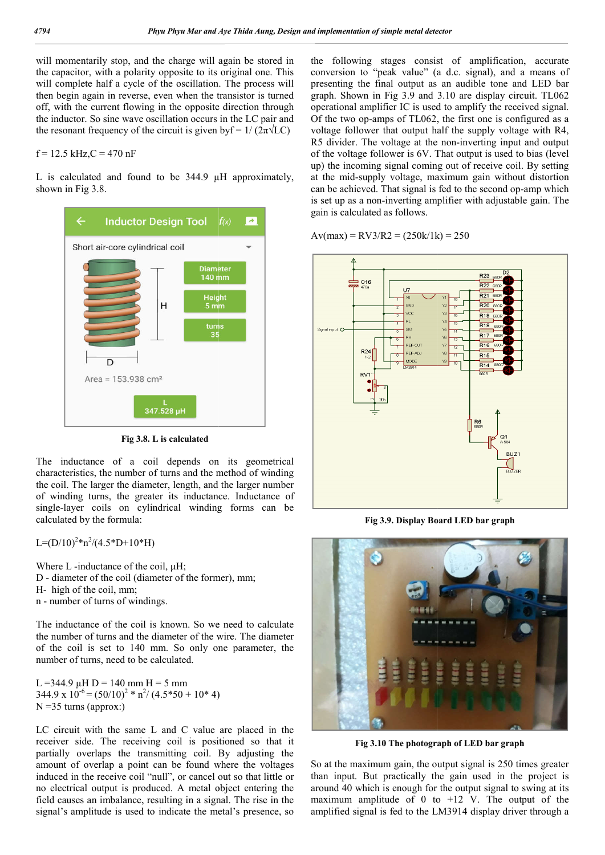will momentarily stop, and the charge will again be stored in the capacitor, with a polarity opposite to its original one. This will complete half a cycle of the oscillation. The process will then begin again in reverse, even when the transistor is turned off, with the current flowing in the opposite direction through the inductor. So sine wave oscillation occurs in the LC pair and the resonant frequency of the circuit is given by  $f = 1/(2\pi \sqrt{LC})$ 

# $f = 12.5$  kHz,  $C = 470$  nF

L is calculated and found to be 344.9  $\mu$ H approximately, shown in Fig 3.8.



**Fig 3.8. L is calculated**

The inductance of a coil depends on its geometrical characteristics, the number of turns and the method of winding the coil. The larger the diameter, length, and the larger number of winding turns, the greater its inductance. Inductance of single-layer coils on cylindrical winding forms can be calculated by the formula:

 $L=(D/10)^{2}$ \*n<sup>2</sup>/(4.5\*D+10\*H)

Where L -inductance of the coil, μH; D - diameter of the coil (diameter of the former), mm; H- high of the coil, mm; n - number of turns of windings. layer coils on cylindrical winding forms can be<br>ted by the formula:<br> $10)^2 \pi n^2/(4.5 \times D+10 \times H)$ <br>L -inductance of the coil,  $\mu$ H;<br>meter of the coil (diameter of the former), mm;<br>th of the coil, mm;<br>nber of turns of windings

The inductance of the coil is known. So we need to calculate the number of turns and the diameter of the wire. The diameter of the coil is set to 140 mm. So only one parameter, the

L = 344.9 µH D = 140 mm H = 5 mm  $344.9 \times 10^{-6} = (50/10)^2 * n^2/(4.5*50 + 10*4)$  $N = 35$  turns (approx:)

number of turns, need to be calculated.

LC circuit with the same L and C value are placed in the receiver side. The receiving coil is positioned so that it partially overlaps the transmitting coil. By adjusting the amount of overlap a point can be found where the voltages induced in the receive coil "null", or cancel out so that little or<br>no electrical output is produced. A metal object entering the<br>field causes an imbalance, resulting in a signal. The rise in the<br>signal's amplitude is used no electrical output is produced. A metal object entering the field causes an imbalance, resulting in a signal. The rise in the signal's amplitude is used to indicate the metal's presence, so

the following stages consist of amplification, accurate conversion to "peak value" (a d.c. signal), and a means of presenting the final output as an audible tone and LED bar the following stages consist of amplification, accurate conversion to "peak value" (a d.c. signal), and a means of presenting the final output as an audible tone and LED bar graph. Shown in Fig 3.9 and 3.10 are display cir operational amplifier IC is used to amplify the received signal. Of the two op-amps of TL062, the first one is configured as a voltage follower that output half the supply voltage with R4, operational amplifier IC is used to amplify the received signal.<br>Of the two op-amps of TL062, the first one is configured as a<br>voltage follower that output half the supply voltage with R4,<br>R5 divider. The voltage at the no of the voltage follower is 6V. That output is used to bias (level up) the incoming signal coming out of receive coil. By setting at the mid-supply voltage, maximum gain without distortion of the voltage follower is 6V. That output is used to bias (level<br>up) the incoming signal coming out of receive coil. By setting<br>at the mid-supply voltage, maximum gain without distortion<br>can be achieved. That signal is fe is set up as a non-inverting amplifier with adjustable gain. The gain is calculated as follows.

 $Av(max) = RV3/R2 = (250k/1k) = 250$ 



**Fig 3.9. Display Board LED bar graph**



**Fig 3.10 The photograph of LED bar graph Fig 3.10 The of LED** 

So at the maximum gain, the output signal is 250 times greater than input. But practically the gain used in the project is around 40 which is enough for the output signal to swing at its maximum amplitude of 0 to  $+12$  V. The output of the amplified signal is fed to the LM3914 display driver through a maximum gain, the output signal is 250 times greater<br>it. But practically the gain used in the project is<br>) which is enough for the output signal to swing at its<br>1 amplitude of 0 to +12 V. The output of the<br>signal is fed t